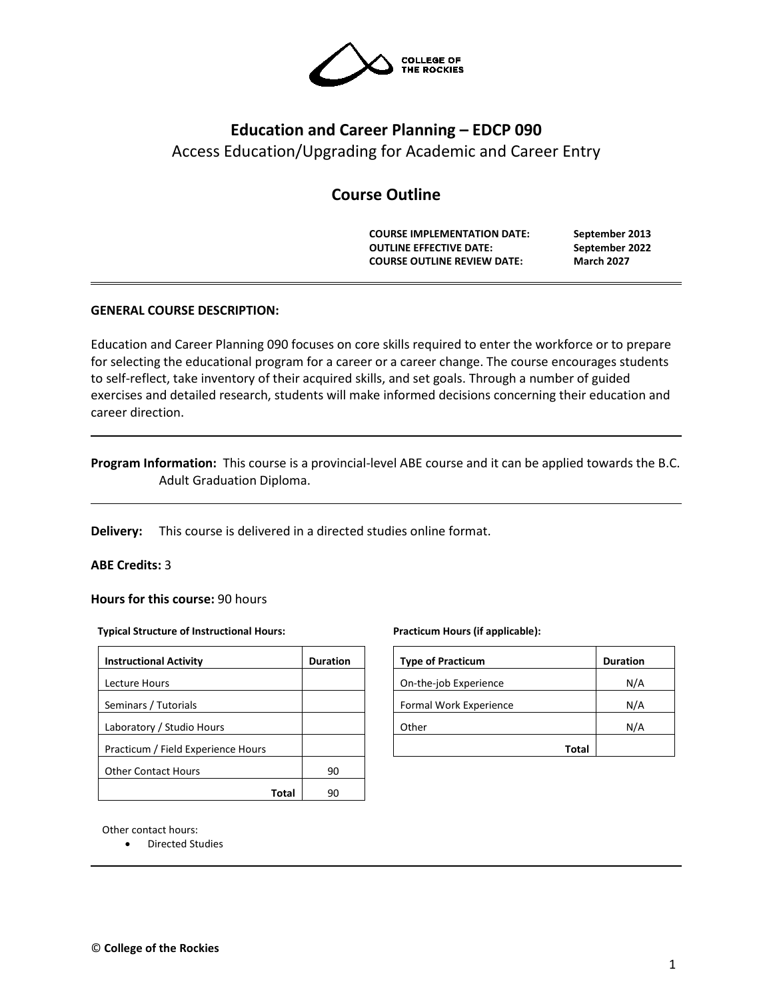

# **Education and Career Planning – EDCP 090**

Access Education/Upgrading for Academic and Career Entry

# **Course Outline**

**COURSE IMPLEMENTATION DATE: September 2013 OUTLINE EFFECTIVE DATE: September 2022 COURSE OUTLINE REVIEW DATE: March 2027**

## **GENERAL COURSE DESCRIPTION:**

Education and Career Planning 090 focuses on core skills required to enter the workforce or to prepare for selecting the educational program for a career or a career change. The course encourages students to self-reflect, take inventory of their acquired skills, and set goals. Through a number of guided exercises and detailed research, students will make informed decisions concerning their education and career direction.

**Program Information:** This course is a provincial-level ABE course and it can be applied towards the B.C. Adult Graduation Diploma.

**Delivery:** This course is delivered in a directed studies online format.

## **ABE Credits:** 3

**Hours for this course:** 90 hours

#### **Typical Structure of Instructional Hours:**

| <b>Instructional Activity</b>      | <b>Duration</b> |
|------------------------------------|-----------------|
| Lecture Hours                      |                 |
| Seminars / Tutorials               |                 |
| Laboratory / Studio Hours          |                 |
| Practicum / Field Experience Hours |                 |
| <b>Other Contact Hours</b>         | 90              |
|                                    |                 |

#### **Practicum Hours (if applicable):**

| <b>Type of Practicum</b> | <b>Duration</b> |
|--------------------------|-----------------|
| On-the-job Experience    | N/A             |
| Formal Work Experience   | N/A             |
| Other                    | N/A             |
| Total                    |                 |

Other contact hours:

• Directed Studies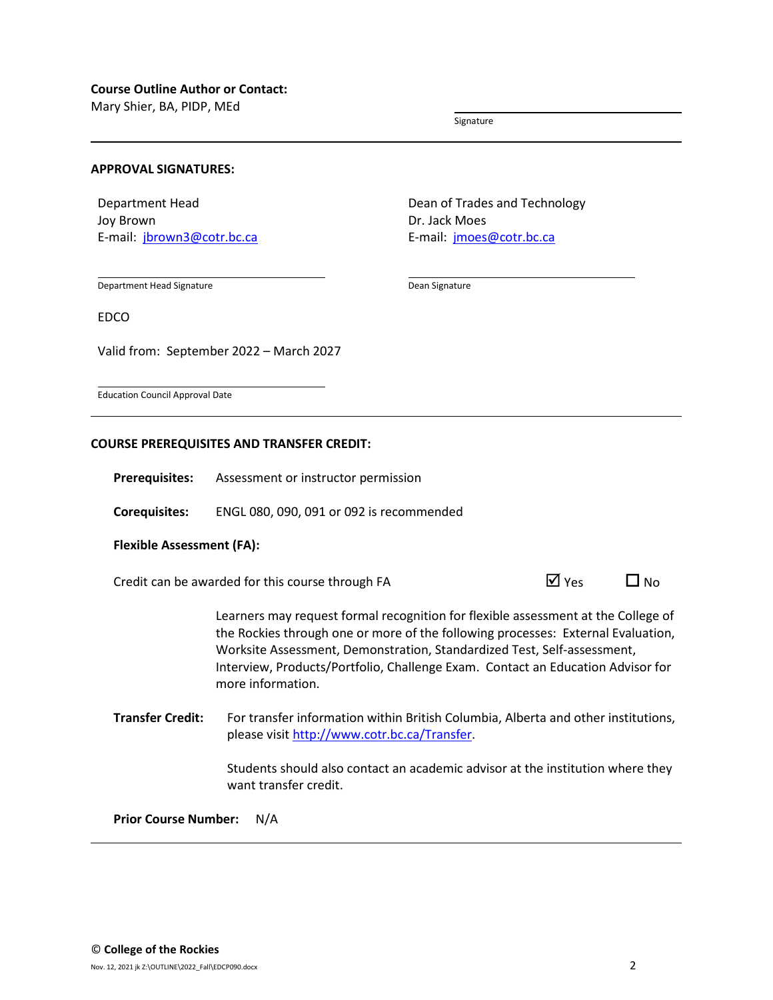Mary Shier, BA, PIDP, MEd

Signature

#### **APPROVAL SIGNATURES:**

Department Head Joy Brown E-mail: [jbrown3@cotr.bc.ca](mailto:jbrown3@cotr.bc.ca) Dean of Trades and Technology Dr. Jack Moes E-mail: [jmoes@cotr.bc.ca](mailto:jmoes@cotr.bc.ca)

Department Head Signature

Dean Signature

EDCO

Valid from: September 2022 – March 2027

Education Council Approval Date

#### **COURSE PREREQUISITES AND TRANSFER CREDIT:**

**Prerequisites:** Assessment or instructor permission

**Corequisites:** ENGL 080, 090, 091 or 092 is recommended

#### **Flexible Assessment (FA):**

Credit can be awarded for this course through FA  $\Box$  Yes  $\Box$  No

Learners may request formal recognition for flexible assessment at the College of the Rockies through one or more of the following processes: External Evaluation, Worksite Assessment, Demonstration, Standardized Test, Self-assessment, Interview, Products/Portfolio, Challenge Exam. Contact an Education Advisor for more information.

**Transfer Credit:** For transfer information within British Columbia, Alberta and other institutions, please visit [http://www.cotr.bc.ca/Transfer.](http://www.cotr.bc.ca/Transfer)

> Students should also contact an academic advisor at the institution where they want transfer credit.

**Prior Course Number:** N/A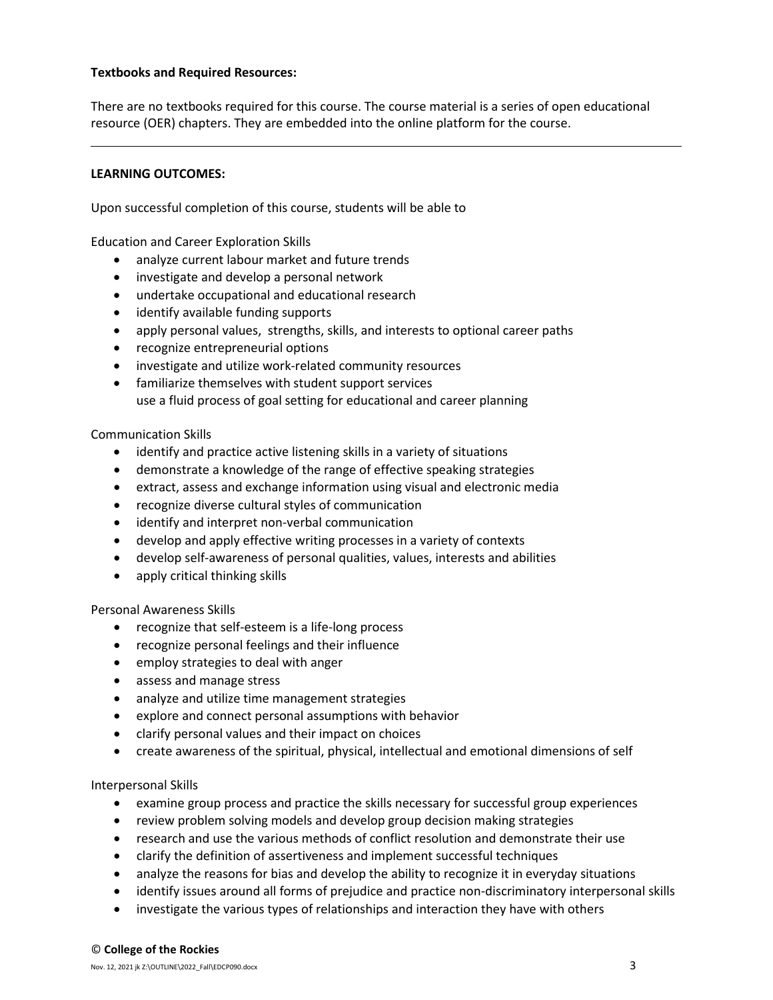#### **Textbooks and Required Resources:**

There are no textbooks required for this course. The course material is a series of open educational resource (OER) chapters. They are embedded into the online platform for the course.

#### **LEARNING OUTCOMES:**

Upon successful completion of this course, students will be able to

Education and Career Exploration Skills

- analyze current labour market and future trends
- investigate and develop a personal network
- undertake occupational and educational research
- identify available funding supports
- apply personal values, strengths, skills, and interests to optional career paths
- recognize entrepreneurial options
- investigate and utilize work-related community resources
- familiarize themselves with student support services use a fluid process of goal setting for educational and career planning

#### Communication Skills

- identify and practice active listening skills in a variety of situations
- demonstrate a knowledge of the range of effective speaking strategies
- extract, assess and exchange information using visual and electronic media
- recognize diverse cultural styles of communication
- identify and interpret non-verbal communication
- develop and apply effective writing processes in a variety of contexts
- develop self-awareness of personal qualities, values, interests and abilities
- apply critical thinking skills

Personal Awareness Skills

- recognize that self-esteem is a life-long process
- recognize personal feelings and their influence
- employ strategies to deal with anger
- assess and manage stress
- analyze and utilize time management strategies
- explore and connect personal assumptions with behavior
- clarify personal values and their impact on choices
- create awareness of the spiritual, physical, intellectual and emotional dimensions of self

Interpersonal Skills

- examine group process and practice the skills necessary for successful group experiences
- review problem solving models and develop group decision making strategies
- research and use the various methods of conflict resolution and demonstrate their use
- clarify the definition of assertiveness and implement successful techniques
- analyze the reasons for bias and develop the ability to recognize it in everyday situations
- identify issues around all forms of prejudice and practice non-discriminatory interpersonal skills
- investigate the various types of relationships and interaction they have with others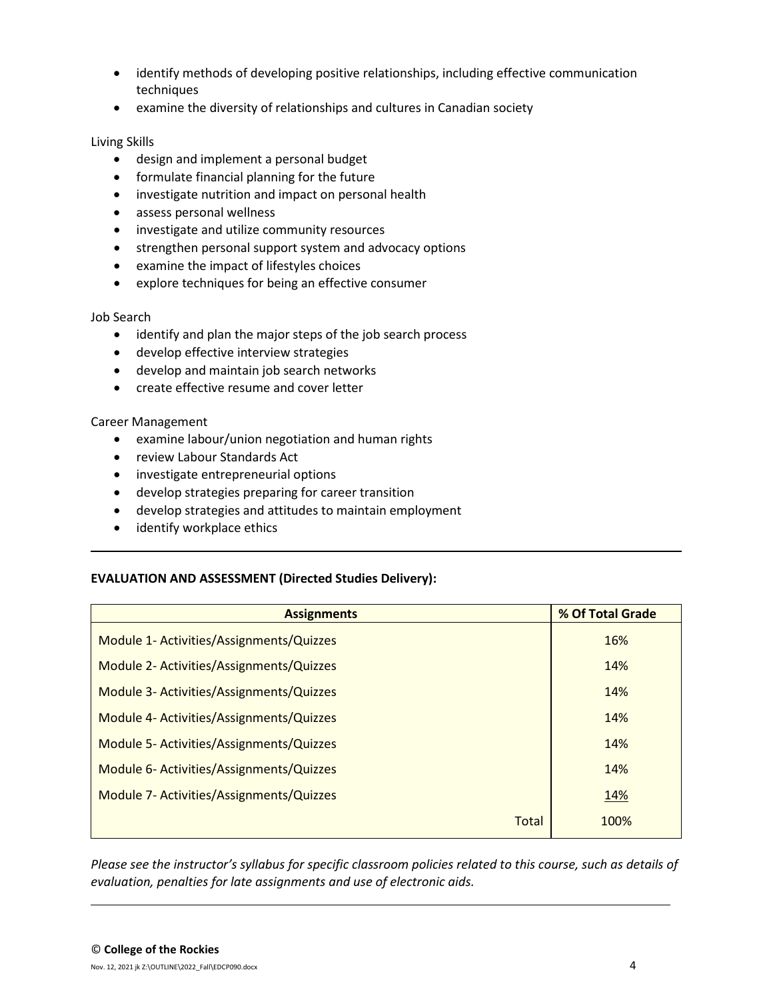- identify methods of developing positive relationships, including effective communication techniques
- examine the diversity of relationships and cultures in Canadian society

#### Living Skills

- design and implement a personal budget
- formulate financial planning for the future
- investigate nutrition and impact on personal health
- assess personal wellness
- investigate and utilize community resources
- strengthen personal support system and advocacy options
- examine the impact of lifestyles choices
- explore techniques for being an effective consumer

#### Job Search

- identify and plan the major steps of the job search process
- develop effective interview strategies
- develop and maintain job search networks
- create effective resume and cover letter

#### Career Management

- examine labour/union negotiation and human rights
- review Labour Standards Act
- investigate entrepreneurial options
- develop strategies preparing for career transition
- develop strategies and attitudes to maintain employment
- identify workplace ethics

## **EVALUATION AND ASSESSMENT (Directed Studies Delivery):**

| <b>Assignments</b>                       | % Of Total Grade |  |  |
|------------------------------------------|------------------|--|--|
| Module 1- Activities/Assignments/Quizzes | 16%              |  |  |
| Module 2- Activities/Assignments/Quizzes | 14%              |  |  |
| Module 3- Activities/Assignments/Quizzes | 14%              |  |  |
| Module 4- Activities/Assignments/Quizzes | 14%              |  |  |
| Module 5- Activities/Assignments/Quizzes | 14%              |  |  |
| Module 6- Activities/Assignments/Quizzes | 14%              |  |  |
| Module 7- Activities/Assignments/Quizzes | 14%              |  |  |
| <b>Total</b>                             | 100%             |  |  |
|                                          |                  |  |  |

*Please see the instructor's syllabus for specific classroom policies related to this course, such as details of evaluation, penalties for late assignments and use of electronic aids.*